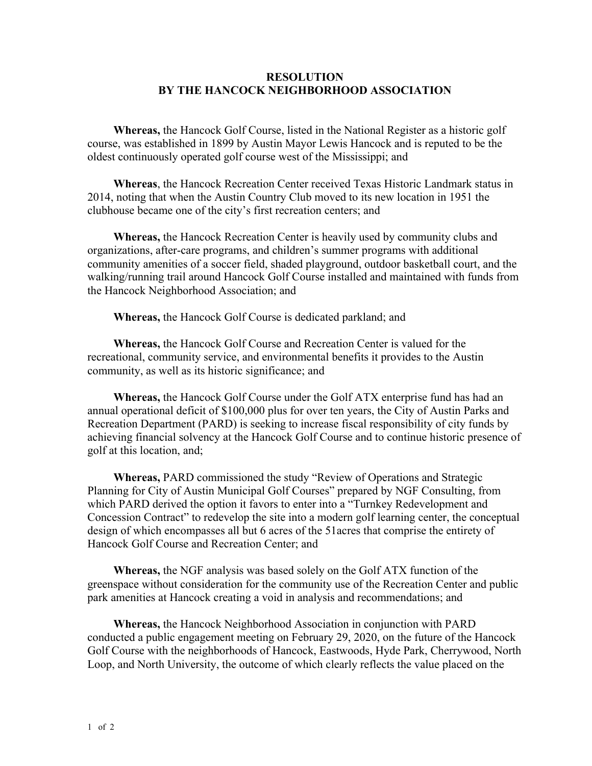## **RESOLUTION BY THE HANCOCK NEIGHBORHOOD ASSOCIATION**

**Whereas,** the Hancock Golf Course, listed in the National Register as a historic golf course, was established in 1899 by Austin Mayor Lewis Hancock and is reputed to be the oldest continuously operated golf course west of the Mississippi; and

**Whereas**, the Hancock Recreation Center received Texas Historic Landmark status in 2014, noting that when the Austin Country Club moved to its new location in 1951 the clubhouse became one of the city's first recreation centers; and

**Whereas,** the Hancock Recreation Center is heavily used by community clubs and organizations, after-care programs, and children's summer programs with additional community amenities of a soccer field, shaded playground, outdoor basketball court, and the walking/running trail around Hancock Golf Course installed and maintained with funds from the Hancock Neighborhood Association; and

**Whereas,** the Hancock Golf Course is dedicated parkland; and

**Whereas,** the Hancock Golf Course and Recreation Center is valued for the recreational, community service, and environmental benefits it provides to the Austin community, as well as its historic significance; and

**Whereas,** the Hancock Golf Course under the Golf ATX enterprise fund has had an annual operational deficit of \$100,000 plus for over ten years, the City of Austin Parks and Recreation Department (PARD) is seeking to increase fiscal responsibility of city funds by achieving financial solvency at the Hancock Golf Course and to continue historic presence of golf at this location, and;

**Whereas,** PARD commissioned the study "Review of Operations and Strategic Planning for City of Austin Municipal Golf Courses" prepared by NGF Consulting, from which PARD derived the option it favors to enter into a "Turnkey Redevelopment and Concession Contract" to redevelop the site into a modern golf learning center, the conceptual design of which encompasses all but 6 acres of the 51acres that comprise the entirety of Hancock Golf Course and Recreation Center; and

**Whereas,** the NGF analysis was based solely on the Golf ATX function of the greenspace without consideration for the community use of the Recreation Center and public park amenities at Hancock creating a void in analysis and recommendations; and

**Whereas,** the Hancock Neighborhood Association in conjunction with PARD conducted a public engagement meeting on February 29, 2020, on the future of the Hancock Golf Course with the neighborhoods of Hancock, Eastwoods, Hyde Park, Cherrywood, North Loop, and North University, the outcome of which clearly reflects the value placed on the